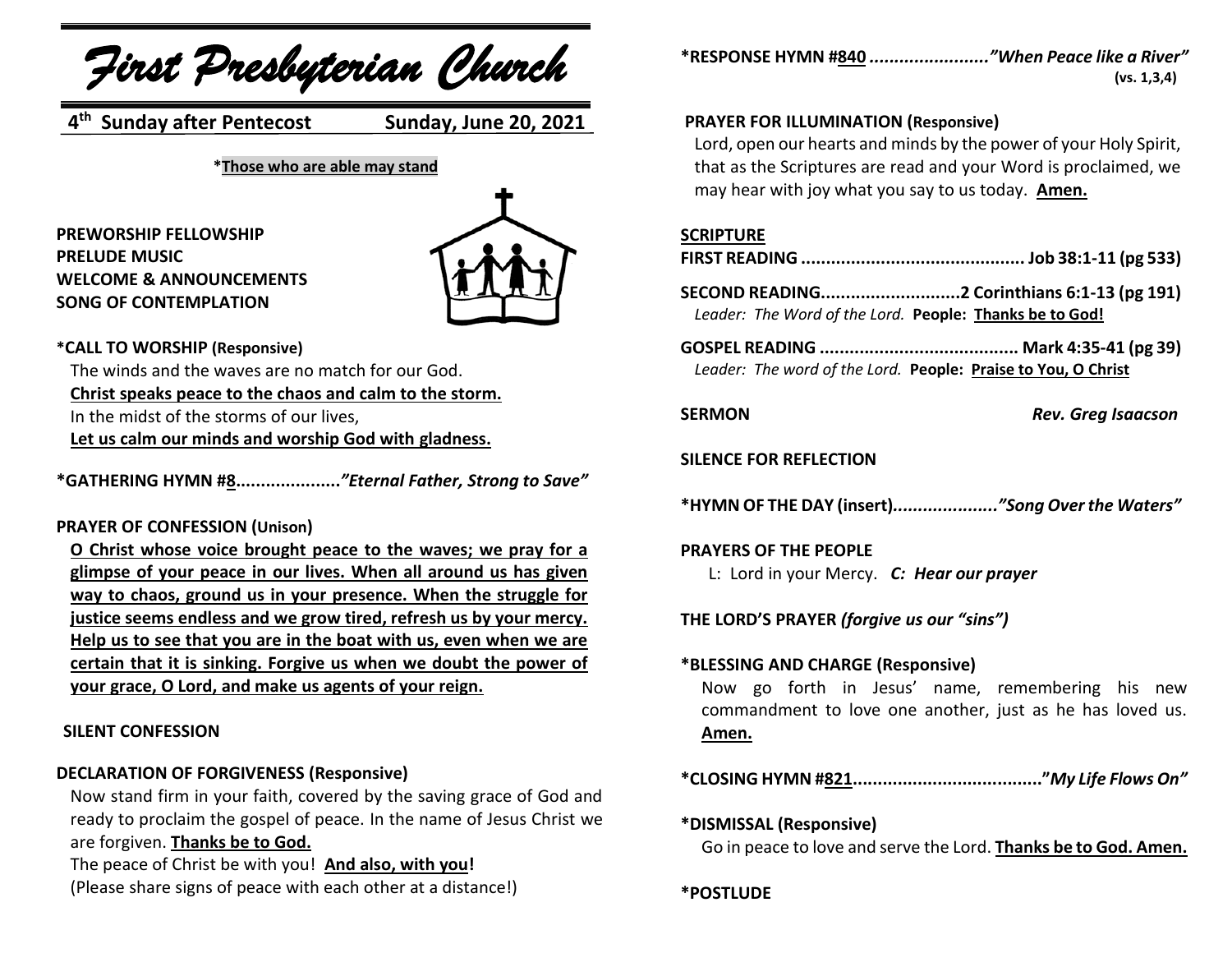*First Presbyterian Church*

**4 th Sunday after Pentecost Sunday, June 20, 2021**

**\*Those who are able may stand**

### **PREWORSHIP FELLOWSHIP PRELUDE MUSIC WELCOME & ANNOUNCEMENTS SONG OF CONTEMPLATION**



#### **\*CALL TO WORSHIP (Responsive)**

The winds and the waves are no match for our God. **Christ speaks peace to the chaos and calm to the storm.** In the midst of the storms of our lives, **Let us calm our minds and worship God with gladness.**

**\*GATHERING HYMN #8.....................***"Eternal Father, Strong to Save"*

#### **PRAYER OF CONFESSION (Unison)**

**O Christ whose voice brought peace to the waves; we pray for a glimpse of your peace in our lives. When all around us has given way to chaos, ground us in your presence. When the struggle for justice seems endless and we grow tired, refresh us by your mercy. Help us to see that you are in the boat with us, even when we are certain that it is sinking. Forgive us when we doubt the power of your grace, O Lord, and make us agents of your reign.**

#### **SILENT CONFESSION**

# **DECLARATION OF FORGIVENESS (Responsive)**

Now stand firm in your faith, covered by the saving grace of God and ready to proclaim the gospel of peace. In the name of Jesus Christ we are forgiven. **Thanks be to God.**

The peace of Christ be with you! **And also, with you!** (Please share signs of peace with each other at a distance!) **\*RESPONSE HYMN #840** *........................"When Peace like a River"* **(vs. 1,3,4)**

# **PRAYER FOR ILLUMINATION (Responsive)**

Lord, open our hearts and minds by the power of your Holy Spirit, that as the Scriptures are read and your Word is proclaimed, we may hear with joy what you say to us today. **Amen.**

#### **SCRIPTURE**

**SECOND READING............................2 Corinthians 6:1-13 (pg 191)** *Leader: The Word of the Lord.* **People: Thanks be to God!**

**GOSPEL READING ........................................ Mark 4:35-41 (pg 39)** *Leader: The word of the Lord.* **People: Praise to You, O Christ**

**SERMON** *Rev. Greg Isaacson*

#### **SILENCE FOR REFLECTION**

**\*HYMN OF THE DAY (insert)***....................."Song Over the Waters"*

#### **PRAYERS OF THE PEOPLE**

L: Lord in your Mercy. *C: Hear our prayer*

**THE LORD'S PRAYER** *(forgive us our "sins")*

#### **\*BLESSING AND CHARGE (Responsive)**

Now go forth in Jesus' name, remembering his new commandment to love one another, just as he has loved us. **Amen.**

**\*CLOSING HYMN #821......................................"***My Life Flows On"*

#### **\*DISMISSAL (Responsive)** Go in peace to love and serve the Lord. **Thanks be to God. Amen.**

**\*POSTLUDE**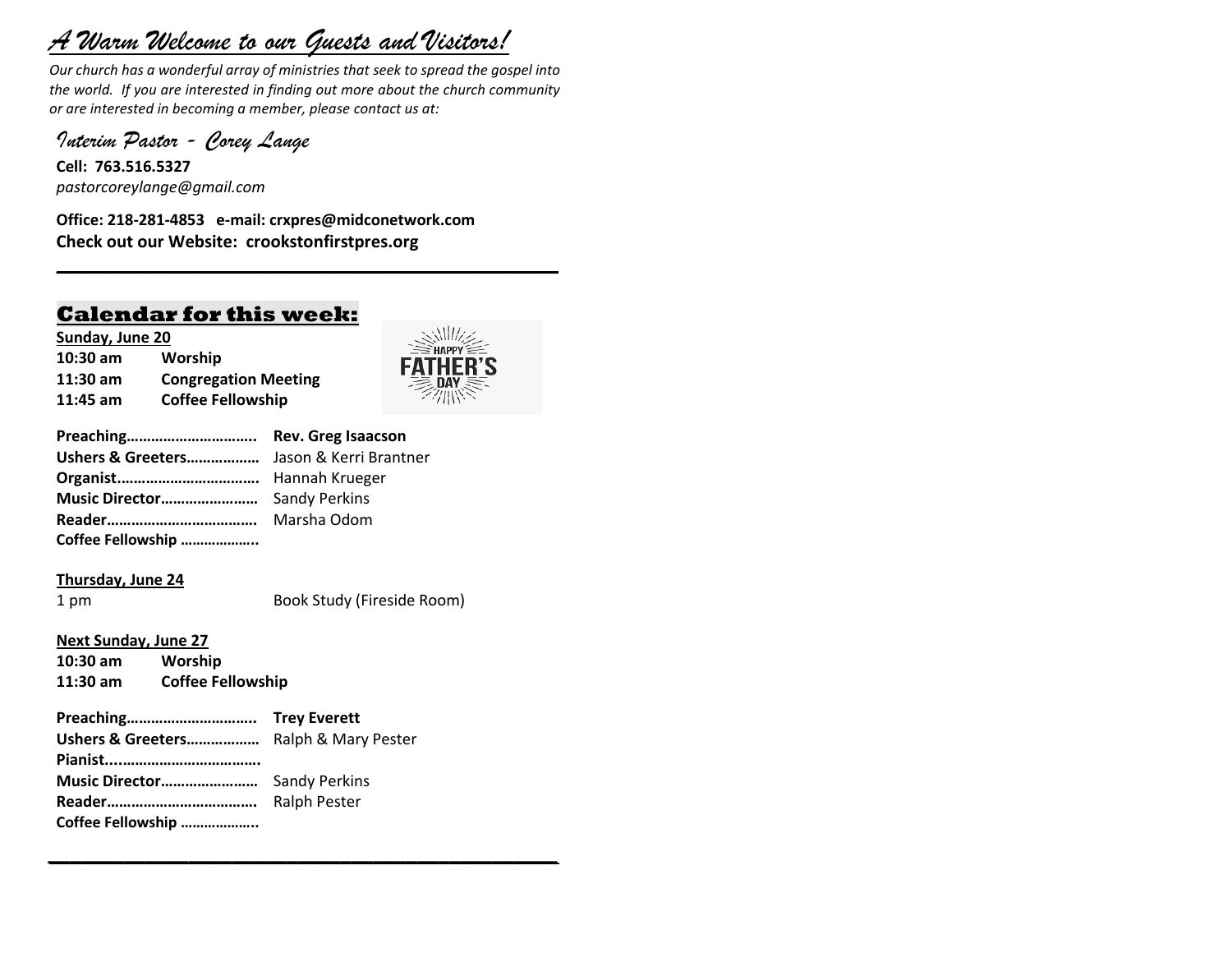# *A Warm Welcome to our Guests and Visitors!*

*Our church has a wonderful array of ministries that seek to spread the gospel into the world. If you are interested in finding out more about the church community or are interested in becoming a member, please contact us at:*

**\_\_\_\_\_\_\_\_\_\_\_\_\_\_\_\_\_\_\_\_\_\_\_\_\_\_\_\_\_\_\_\_\_\_\_\_\_\_\_\_\_\_\_\_\_\_\_\_\_\_\_\_\_\_**

*Interim Pastor - Corey Lange* 

**Cell: 763.516.5327** *pastorcoreylange@gmail.com*

**Office: 218-281-4853 e-mail: crxpres@midconetwork.com Check out our Website: crookstonfirstpres.org**

# **Calendar for this week:**

**Sunday, June 20 10:30 am Worship 11:30 am Congregation Meeting 11:45 am Coffee Fellowship**



| Preaching Rev. Greg Isaacson |  |
|------------------------------|--|
|                              |  |
|                              |  |
|                              |  |
|                              |  |
| Coffee Fellowship            |  |

#### **Thursday, June 24**

1 pm Book Study (Fireside Room)

#### **Next Sunday, June 27**

**10:30 am Worship 11:30 am Coffee Fellowship**

# **Preaching………………………….. Trey Everett**

*\_\_\_\_\_\_\_\_\_\_\_\_\_\_\_\_\_\_\_\_\_\_\_\_\_\_\_\_\_\_\_\_\_\_\_\_\_\_\_\_\_\_\_\_\_\_\_*

**Ushers & Greeters………………** Ralph & Mary Pester **Pianist....……………………………. Music Director……………………** Sandy Perkins **Reader……………………………….** Ralph Pester **Coffee Fellowship ………………..**